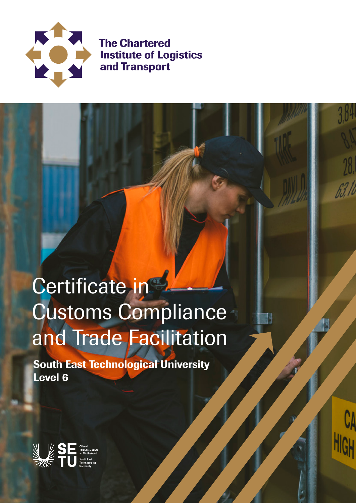

**The Chartered Institute of Logistics** and Transport

# Certificate in Customs Compliance and Trade Facilitation

South East Technological University Level 6



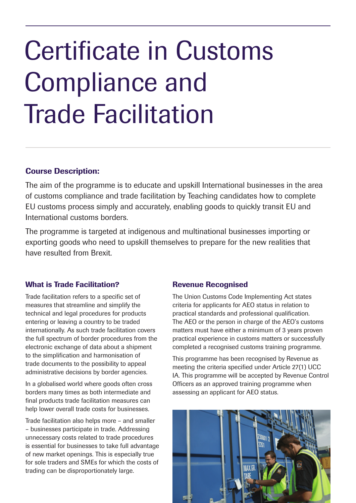# Certificate in Customs Compliance and Trade Facilitation

# Course Description:

The aim of the programme is to educate and upskill International businesses in the area of customs compliance and trade facilitation by Teaching candidates how to complete EU customs process simply and accurately, enabling goods to quickly transit EU and International customs borders.

The programme is targeted at indigenous and multinational businesses importing or exporting goods who need to upskill themselves to prepare for the new realities that have resulted from Brexit.

# What is Trade Facilitation?

Trade facilitation refers to a specific set of measures that streamline and simplify the technical and legal procedures for products entering or leaving a country to be traded internationally. As such trade facilitation covers the full spectrum of border procedures from the electronic exchange of data about a shipment to the simplification and harmonisation of trade documents to the possibility to appeal administrative decisions by border agencies.

In a globalised world where goods often cross borders many times as both intermediate and final products trade facilitation measures can help lower overall trade costs for businesses.

Trade facilitation also helps more – and smaller – businesses participate in trade. Addressing unnecessary costs related to trade procedures is essential for businesses to take full advantage of new market openings. This is especially true for sole traders and SMEs for which the costs of trading can be disproportionately large.

#### Revenue Recognised

The Union Customs Code Implementing Act states criteria for applicants for AEO status in relation to practical standards and professional qualification. The AEO or the person in charge of the AEO's customs matters must have either a minimum of 3 years proven practical experience in customs matters or successfully completed a recognised customs training programme.

This programme has been recognised by Revenue as meeting the criteria specified under Article 27(1) UCC IA. This programme will be accepted by Revenue Control Officers as an approved training programme when assessing an applicant for AEO status.

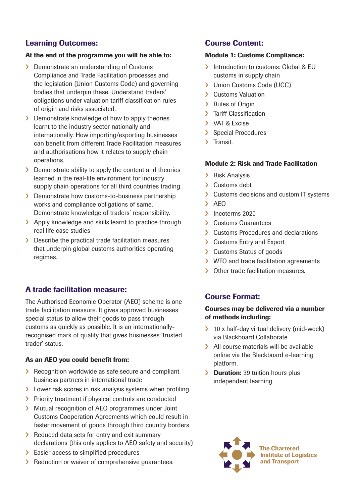# Learning Outcomes:

#### At the end of the programme you will be able to:

- › Demonstrate an understanding of Customs Compliance and Trade Facilitation processes and the legislation (Union Customs Code) and governing bodies that underpin these. Understand traders' obligations under valuation tariff classification rules of origin and risks associated.
- > Demonstrate knowledge of how to apply theories learnt to the industry sector nationally and internationally. How importing/exporting businesses can benefit from different Trade Facilitation measures and authorisations how it relates to supply chain operations.
- > Demonstrate ability to apply the content and theories learned in the real-life environment for industry supply chain operations for all third countries trading.
- › Demonstrate how customs-to-business partnership works and compliance obligations of same. Demonstrate knowledge of traders' responsibility.
- > Apply knowledge and skills learnt to practice through real life case studies
- › Describe the practical trade facilitation measures that underpin global customs authorities operating regimes.

# A trade facilitation measure:

The Authorised Economic Operator (AEO) scheme is one trade facilitation measure. It gives approved businesses special status to allow their goods to pass through customs as quickly as possible. It is an internationallyrecognised mark of quality that gives businesses 'trusted trader' status.

#### As an AEO you could benefit from:

- › Recognition worldwide as safe secure and compliant business partners in international trade
- > Lower risk scores in risk analysis systems when profiling
- > Priority treatment if physical controls are conducted
- › Mutual recognition of AEO programmes under Joint Customs Cooperation Agreements which could result in faster movement of goods through third country borders
- › Reduced data sets for entry and exit summary declarations (this only applies to AEO safety and security)
- > Easier access to simplified procedures
- › Reduction or waiver of comprehensive guarantees.

# Course Content:

#### Module 1: Customs Compliance:

- > Introduction to customs: Global & EU customs in supply chain
- > Union Customs Code (UCC)
- › Customs Valuation
- > Rules of Origin
- > Tariff Classification
- › VAT & Excise
- › Special Procedures
- › Transit.

#### Module 2: Risk and Trade Facilitation

- › Risk Analysis
- › Customs debt
- › Customs decisions and custom IT systems
- › AEO
- › Incoterms 2020
- › Customs Guarantees
- › Customs Procedures and declarations
- › Customs Entry and Export
- › Customs Status of goods
- › WTO and trade facilitation agreements
- > Other trade facilitation measures.

# Course Format:

#### Courses may be delivered via a number of methods including:

- > 10 x half-day virtual delivery (mid-week) via Blackboard Collaborate
- › All course materials will be available online via the Blackboard e-learning platform.
- **> Duration:** 39 tuition hours plus independent learning.



**The Chartered Institute of Logistics** and Transport